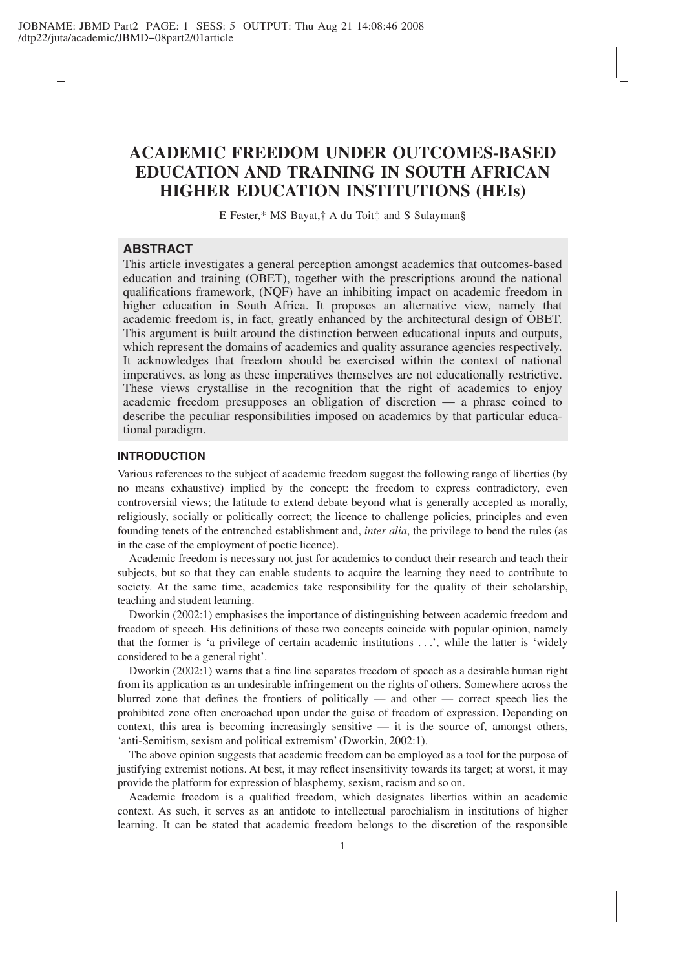# **ACADEMIC FREEDOM UNDER OUTCOMES-BASED EDUCATION AND TRAINING IN SOUTH AFRICAN HIGHER EDUCATION INSTITUTIONS (HEIs)**

E Fester,\* MS Bayat,† A du Toit‡ and S Sulayman§

# **ABSTRACT**

This article investigates a general perception amongst academics that outcomes-based education and training (OBET), together with the prescriptions around the national qualifications framework, (NQF) have an inhibiting impact on academic freedom in higher education in South Africa. It proposes an alternative view, namely that academic freedom is, in fact, greatly enhanced by the architectural design of OBET. This argument is built around the distinction between educational inputs and outputs, which represent the domains of academics and quality assurance agencies respectively. It acknowledges that freedom should be exercised within the context of national imperatives, as long as these imperatives themselves are not educationally restrictive. These views crystallise in the recognition that the right of academics to enjoy academic freedom presupposes an obligation of discretion — a phrase coined to describe the peculiar responsibilities imposed on academics by that particular educational paradigm.

### **INTRODUCTION**

Various references to the subject of academic freedom suggest the following range of liberties (by no means exhaustive) implied by the concept: the freedom to express contradictory, even controversial views; the latitude to extend debate beyond what is generally accepted as morally, religiously, socially or politically correct; the licence to challenge policies, principles and even founding tenets of the entrenched establishment and, *inter alia*, the privilege to bend the rules (as in the case of the employment of poetic licence).

Academic freedom is necessary not just for academics to conduct their research and teach their subjects, but so that they can enable students to acquire the learning they need to contribute to society. At the same time, academics take responsibility for the quality of their scholarship, teaching and student learning.

Dworkin (2002:1) emphasises the importance of distinguishing between academic freedom and freedom of speech. His definitions of these two concepts coincide with popular opinion, namely that the former is 'a privilege of certain academic institutions . . .', while the latter is 'widely considered to be a general right'.

Dworkin (2002:1) warns that a fine line separates freedom of speech as a desirable human right from its application as an undesirable infringement on the rights of others. Somewhere across the blurred zone that defines the frontiers of politically — and other — correct speech lies the prohibited zone often encroached upon under the guise of freedom of expression. Depending on context, this area is becoming increasingly sensitive  $-$  it is the source of, amongst others, 'anti-Semitism, sexism and political extremism' (Dworkin, 2002:1).

The above opinion suggests that academic freedom can be employed as a tool for the purpose of justifying extremist notions. At best, it may reflect insensitivity towards its target; at worst, it may provide the platform for expression of blasphemy, sexism, racism and so on.

Academic freedom is a qualified freedom, which designates liberties within an academic context. As such, it serves as an antidote to intellectual parochialism in institutions of higher learning. It can be stated that academic freedom belongs to the discretion of the responsible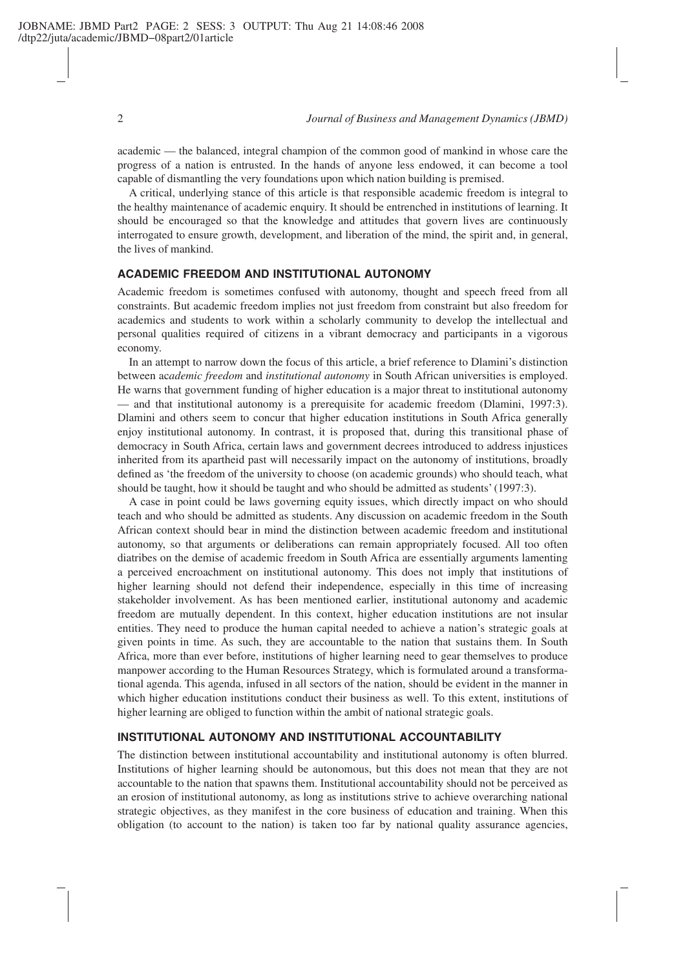#### 2 *Journal of Business and Management Dynamics (JBMD)*

academic — the balanced, integral champion of the common good of mankind in whose care the progress of a nation is entrusted. In the hands of anyone less endowed, it can become a tool capable of dismantling the very foundations upon which nation building is premised.

A critical, underlying stance of this article is that responsible academic freedom is integral to the healthy maintenance of academic enquiry. It should be entrenched in institutions of learning. It should be encouraged so that the knowledge and attitudes that govern lives are continuously interrogated to ensure growth, development, and liberation of the mind, the spirit and, in general, the lives of mankind.

# **ACADEMIC FREEDOM AND INSTITUTIONAL AUTONOMY**

Academic freedom is sometimes confused with autonomy, thought and speech freed from all constraints. But academic freedom implies not just freedom from constraint but also freedom for academics and students to work within a scholarly community to develop the intellectual and personal qualities required of citizens in a vibrant democracy and participants in a vigorous economy.

In an attempt to narrow down the focus of this article, a brief reference to Dlamini's distinction between ac*ademic freedom* and *institutional autonomy* in South African universities is employed. He warns that government funding of higher education is a major threat to institutional autonomy — and that institutional autonomy is a prerequisite for academic freedom (Dlamini, 1997:3). Dlamini and others seem to concur that higher education institutions in South Africa generally enjoy institutional autonomy. In contrast, it is proposed that, during this transitional phase of democracy in South Africa, certain laws and government decrees introduced to address injustices inherited from its apartheid past will necessarily impact on the autonomy of institutions, broadly defined as 'the freedom of the university to choose (on academic grounds) who should teach, what should be taught, how it should be taught and who should be admitted as students' (1997:3).

A case in point could be laws governing equity issues, which directly impact on who should teach and who should be admitted as students. Any discussion on academic freedom in the South African context should bear in mind the distinction between academic freedom and institutional autonomy, so that arguments or deliberations can remain appropriately focused. All too often diatribes on the demise of academic freedom in South Africa are essentially arguments lamenting a perceived encroachment on institutional autonomy. This does not imply that institutions of higher learning should not defend their independence, especially in this time of increasing stakeholder involvement. As has been mentioned earlier, institutional autonomy and academic freedom are mutually dependent. In this context, higher education institutions are not insular entities. They need to produce the human capital needed to achieve a nation's strategic goals at given points in time. As such, they are accountable to the nation that sustains them. In South Africa, more than ever before, institutions of higher learning need to gear themselves to produce manpower according to the Human Resources Strategy, which is formulated around a transformational agenda. This agenda, infused in all sectors of the nation, should be evident in the manner in which higher education institutions conduct their business as well. To this extent, institutions of higher learning are obliged to function within the ambit of national strategic goals.

# **INSTITUTIONAL AUTONOMY AND INSTITUTIONAL ACCOUNTABILITY**

The distinction between institutional accountability and institutional autonomy is often blurred. Institutions of higher learning should be autonomous, but this does not mean that they are not accountable to the nation that spawns them. Institutional accountability should not be perceived as an erosion of institutional autonomy, as long as institutions strive to achieve overarching national strategic objectives, as they manifest in the core business of education and training. When this obligation (to account to the nation) is taken too far by national quality assurance agencies,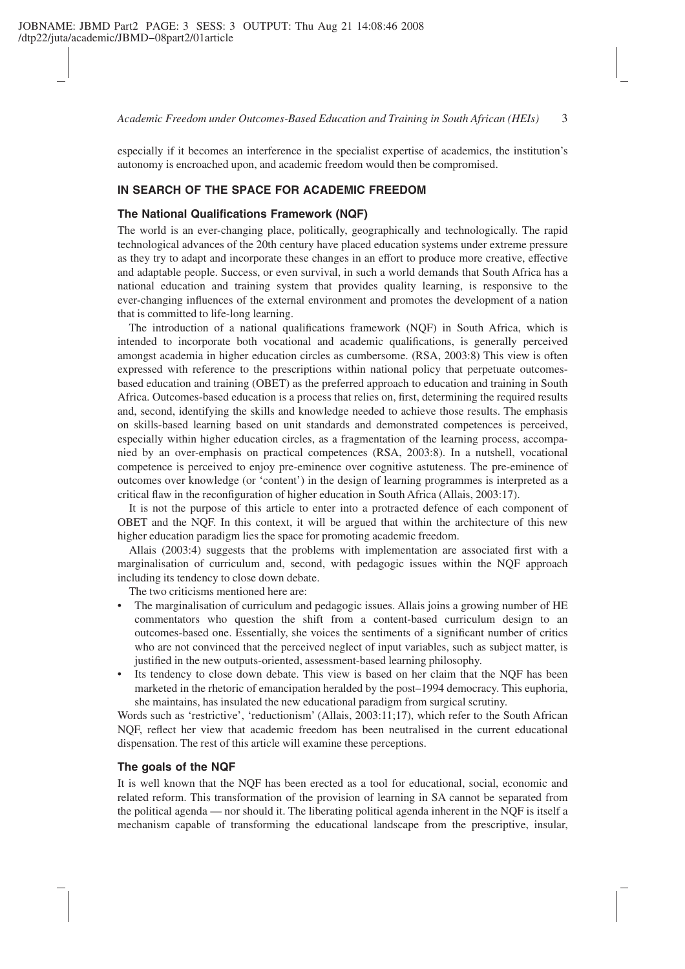*Academic Freedom under Outcomes-Based Education and Training in South African (HEIs)* 3

especially if it becomes an interference in the specialist expertise of academics, the institution's autonomy is encroached upon, and academic freedom would then be compromised.

#### **IN SEARCH OF THE SPACE FOR ACADEMIC FREEDOM**

#### **The National Qualifications Framework (NQF)**

The world is an ever-changing place, politically, geographically and technologically. The rapid technological advances of the 20th century have placed education systems under extreme pressure as they try to adapt and incorporate these changes in an effort to produce more creative, effective and adaptable people. Success, or even survival, in such a world demands that South Africa has a national education and training system that provides quality learning, is responsive to the ever-changing influences of the external environment and promotes the development of a nation that is committed to life-long learning.

The introduction of a national qualifications framework (NQF) in South Africa, which is intended to incorporate both vocational and academic qualifications, is generally perceived amongst academia in higher education circles as cumbersome. (RSA, 2003:8) This view is often expressed with reference to the prescriptions within national policy that perpetuate outcomesbased education and training (OBET) as the preferred approach to education and training in South Africa. Outcomes-based education is a process that relies on, first, determining the required results and, second, identifying the skills and knowledge needed to achieve those results. The emphasis on skills-based learning based on unit standards and demonstrated competences is perceived, especially within higher education circles, as a fragmentation of the learning process, accompanied by an over-emphasis on practical competences (RSA, 2003:8). In a nutshell, vocational competence is perceived to enjoy pre-eminence over cognitive astuteness. The pre-eminence of outcomes over knowledge (or 'content') in the design of learning programmes is interpreted as a critical flaw in the reconfiguration of higher education in South Africa (Allais, 2003:17).

It is not the purpose of this article to enter into a protracted defence of each component of OBET and the NQF. In this context, it will be argued that within the architecture of this new higher education paradigm lies the space for promoting academic freedom.

Allais (2003:4) suggests that the problems with implementation are associated first with a marginalisation of curriculum and, second, with pedagogic issues within the NQF approach including its tendency to close down debate.

The two criticisms mentioned here are:

- The marginalisation of curriculum and pedagogic issues. Allais joins a growing number of HE commentators who question the shift from a content-based curriculum design to an outcomes-based one. Essentially, she voices the sentiments of a significant number of critics who are not convinced that the perceived neglect of input variables, such as subject matter, is justified in the new outputs-oriented, assessment-based learning philosophy.
- Its tendency to close down debate. This view is based on her claim that the NOF has been marketed in the rhetoric of emancipation heralded by the post–1994 democracy. This euphoria, she maintains, has insulated the new educational paradigm from surgical scrutiny.

Words such as 'restrictive', 'reductionism' (Allais, 2003:11;17), which refer to the South African NQF, reflect her view that academic freedom has been neutralised in the current educational dispensation. The rest of this article will examine these perceptions.

#### **The goals of the NQF**

It is well known that the NQF has been erected as a tool for educational, social, economic and related reform. This transformation of the provision of learning in SA cannot be separated from the political agenda — nor should it. The liberating political agenda inherent in the NQF is itself a mechanism capable of transforming the educational landscape from the prescriptive, insular,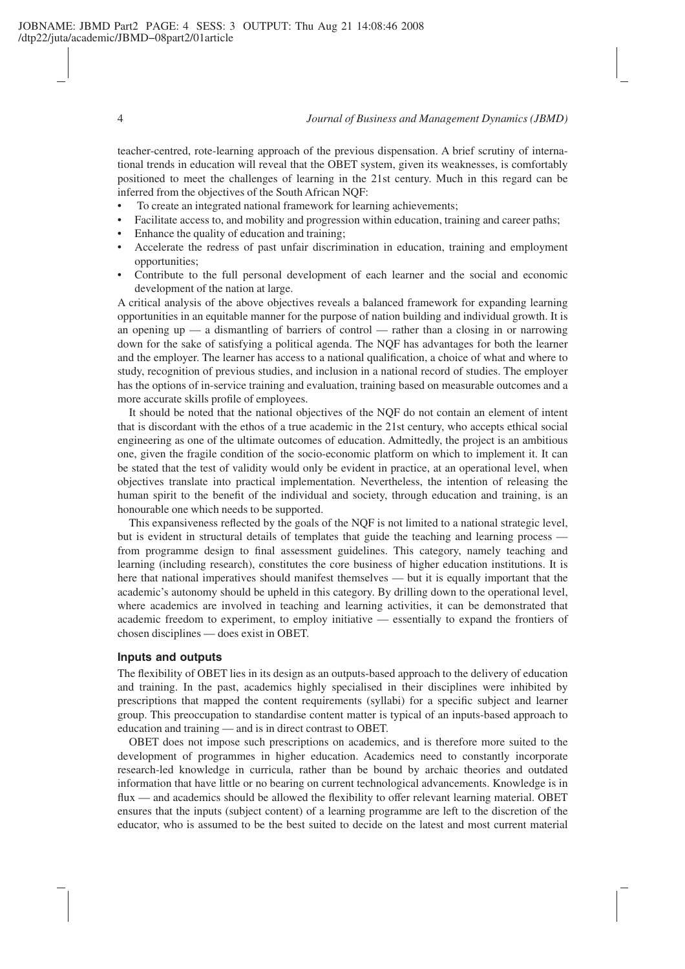teacher-centred, rote-learning approach of the previous dispensation. A brief scrutiny of international trends in education will reveal that the OBET system, given its weaknesses, is comfortably positioned to meet the challenges of learning in the 21st century. Much in this regard can be inferred from the objectives of the South African NQF:

- To create an integrated national framework for learning achievements;
- Facilitate access to, and mobility and progression within education, training and career paths;
- Enhance the quality of education and training;
- Accelerate the redress of past unfair discrimination in education, training and employment opportunities;
- Contribute to the full personal development of each learner and the social and economic development of the nation at large.

A critical analysis of the above objectives reveals a balanced framework for expanding learning opportunities in an equitable manner for the purpose of nation building and individual growth. It is an opening up — a dismantling of barriers of control — rather than a closing in or narrowing down for the sake of satisfying a political agenda. The NQF has advantages for both the learner and the employer. The learner has access to a national qualification, a choice of what and where to study, recognition of previous studies, and inclusion in a national record of studies. The employer has the options of in-service training and evaluation, training based on measurable outcomes and a more accurate skills profile of employees.

It should be noted that the national objectives of the NQF do not contain an element of intent that is discordant with the ethos of a true academic in the 21st century, who accepts ethical social engineering as one of the ultimate outcomes of education. Admittedly, the project is an ambitious one, given the fragile condition of the socio-economic platform on which to implement it. It can be stated that the test of validity would only be evident in practice, at an operational level, when objectives translate into practical implementation. Nevertheless, the intention of releasing the human spirit to the benefit of the individual and society, through education and training, is an honourable one which needs to be supported.

This expansiveness reflected by the goals of the NQF is not limited to a national strategic level, but is evident in structural details of templates that guide the teaching and learning process from programme design to final assessment guidelines. This category, namely teaching and learning (including research), constitutes the core business of higher education institutions. It is here that national imperatives should manifest themselves — but it is equally important that the academic's autonomy should be upheld in this category. By drilling down to the operational level, where academics are involved in teaching and learning activities, it can be demonstrated that academic freedom to experiment, to employ initiative — essentially to expand the frontiers of chosen disciplines — does exist in OBET.

### **Inputs and outputs**

The flexibility of OBET lies in its design as an outputs-based approach to the delivery of education and training. In the past, academics highly specialised in their disciplines were inhibited by prescriptions that mapped the content requirements (syllabi) for a specific subject and learner group. This preoccupation to standardise content matter is typical of an inputs-based approach to education and training — and is in direct contrast to OBET.

OBET does not impose such prescriptions on academics, and is therefore more suited to the development of programmes in higher education. Academics need to constantly incorporate research-led knowledge in curricula, rather than be bound by archaic theories and outdated information that have little or no bearing on current technological advancements. Knowledge is in flux — and academics should be allowed the flexibility to offer relevant learning material. OBET ensures that the inputs (subject content) of a learning programme are left to the discretion of the educator, who is assumed to be the best suited to decide on the latest and most current material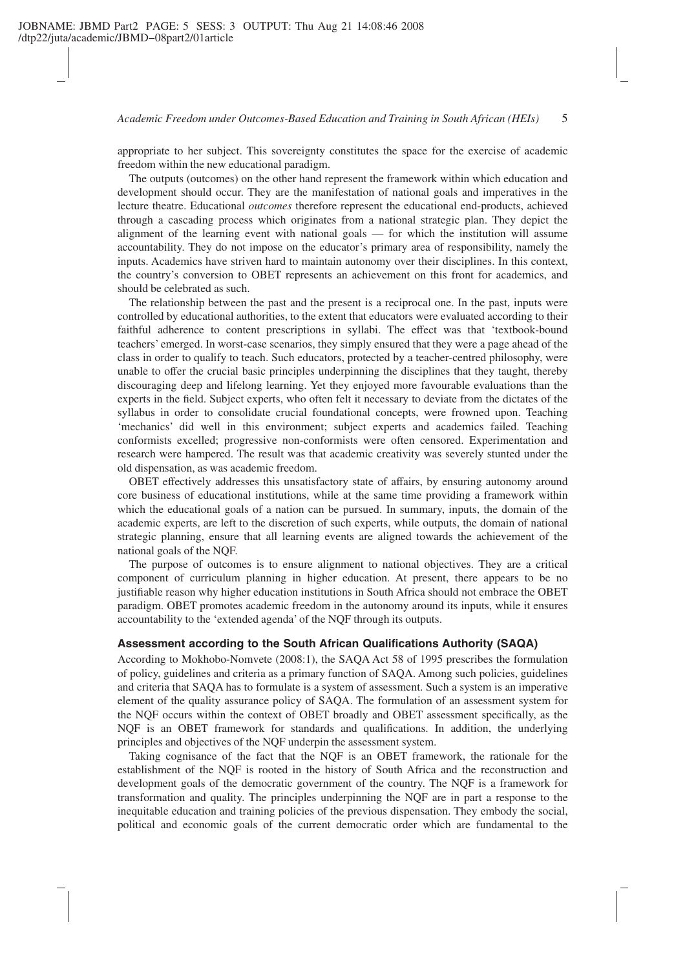#### *Academic Freedom under Outcomes-Based Education and Training in South African (HEIs)* 5

appropriate to her subject. This sovereignty constitutes the space for the exercise of academic freedom within the new educational paradigm.

The outputs (outcomes) on the other hand represent the framework within which education and development should occur. They are the manifestation of national goals and imperatives in the lecture theatre. Educational *outcomes* therefore represent the educational end-products, achieved through a cascading process which originates from a national strategic plan. They depict the alignment of the learning event with national goals — for which the institution will assume accountability. They do not impose on the educator's primary area of responsibility, namely the inputs. Academics have striven hard to maintain autonomy over their disciplines. In this context, the country's conversion to OBET represents an achievement on this front for academics, and should be celebrated as such.

The relationship between the past and the present is a reciprocal one. In the past, inputs were controlled by educational authorities, to the extent that educators were evaluated according to their faithful adherence to content prescriptions in syllabi. The effect was that 'textbook-bound teachers' emerged. In worst-case scenarios, they simply ensured that they were a page ahead of the class in order to qualify to teach. Such educators, protected by a teacher-centred philosophy, were unable to offer the crucial basic principles underpinning the disciplines that they taught, thereby discouraging deep and lifelong learning. Yet they enjoyed more favourable evaluations than the experts in the field. Subject experts, who often felt it necessary to deviate from the dictates of the syllabus in order to consolidate crucial foundational concepts, were frowned upon. Teaching 'mechanics' did well in this environment; subject experts and academics failed. Teaching conformists excelled; progressive non-conformists were often censored. Experimentation and research were hampered. The result was that academic creativity was severely stunted under the old dispensation, as was academic freedom.

OBET effectively addresses this unsatisfactory state of affairs, by ensuring autonomy around core business of educational institutions, while at the same time providing a framework within which the educational goals of a nation can be pursued. In summary, inputs, the domain of the academic experts, are left to the discretion of such experts, while outputs, the domain of national strategic planning, ensure that all learning events are aligned towards the achievement of the national goals of the NQF.

The purpose of outcomes is to ensure alignment to national objectives. They are a critical component of curriculum planning in higher education. At present, there appears to be no justifiable reason why higher education institutions in South Africa should not embrace the OBET paradigm. OBET promotes academic freedom in the autonomy around its inputs, while it ensures accountability to the 'extended agenda' of the NQF through its outputs.

#### **Assessment according to the South African Qualifications Authority (SAQA)**

According to Mokhobo-Nomvete (2008:1), the SAQA Act 58 of 1995 prescribes the formulation of policy, guidelines and criteria as a primary function of SAQA. Among such policies, guidelines and criteria that SAQA has to formulate is a system of assessment. Such a system is an imperative element of the quality assurance policy of SAQA. The formulation of an assessment system for the NQF occurs within the context of OBET broadly and OBET assessment specifically, as the NQF is an OBET framework for standards and qualifications. In addition, the underlying principles and objectives of the NQF underpin the assessment system.

Taking cognisance of the fact that the NQF is an OBET framework, the rationale for the establishment of the NQF is rooted in the history of South Africa and the reconstruction and development goals of the democratic government of the country. The NQF is a framework for transformation and quality. The principles underpinning the NQF are in part a response to the inequitable education and training policies of the previous dispensation. They embody the social, political and economic goals of the current democratic order which are fundamental to the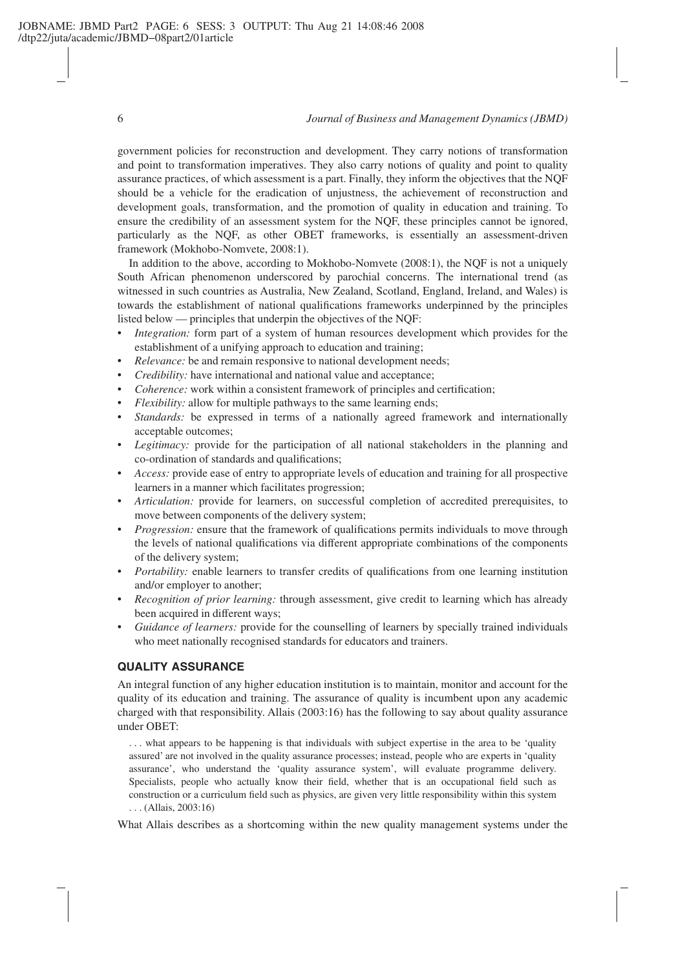#### 6 *Journal of Business and Management Dynamics (JBMD)*

government policies for reconstruction and development. They carry notions of transformation and point to transformation imperatives. They also carry notions of quality and point to quality assurance practices, of which assessment is a part. Finally, they inform the objectives that the NQF should be a vehicle for the eradication of unjustness, the achievement of reconstruction and development goals, transformation, and the promotion of quality in education and training. To ensure the credibility of an assessment system for the NQF, these principles cannot be ignored, particularly as the NQF, as other OBET frameworks, is essentially an assessment-driven framework (Mokhobo-Nomvete, 2008:1).

In addition to the above, according to Mokhobo-Nomvete (2008:1), the NQF is not a uniquely South African phenomenon underscored by parochial concerns. The international trend (as witnessed in such countries as Australia, New Zealand, Scotland, England, Ireland, and Wales) is towards the establishment of national qualifications frameworks underpinned by the principles listed below — principles that underpin the objectives of the NQF:

- *Integration:* form part of a system of human resources development which provides for the establishment of a unifying approach to education and training;
- *Relevance:* be and remain responsive to national development needs;
- *Credibility:* have international and national value and acceptance;
- *Coherence:* work within a consistent framework of principles and certification;
- *Flexibility:* allow for multiple pathways to the same learning ends;
- *Standards:* be expressed in terms of a nationally agreed framework and internationally acceptable outcomes;
- *Legitimacy:* provide for the participation of all national stakeholders in the planning and co-ordination of standards and qualifications;
- *Access:* provide ease of entry to appropriate levels of education and training for all prospective learners in a manner which facilitates progression;
- *Articulation:* provide for learners, on successful completion of accredited prerequisites, to move between components of the delivery system;
- *Progression:* ensure that the framework of qualifications permits individuals to move through the levels of national qualifications via different appropriate combinations of the components of the delivery system;
- *Portability:* enable learners to transfer credits of qualifications from one learning institution and/or employer to another;
- *Recognition of prior learning:* through assessment, give credit to learning which has already been acquired in different ways;
- *Guidance of learners:* provide for the counselling of learners by specially trained individuals who meet nationally recognised standards for educators and trainers.

### **QUALITY ASSURANCE**

An integral function of any higher education institution is to maintain, monitor and account for the quality of its education and training. The assurance of quality is incumbent upon any academic charged with that responsibility. Allais (2003:16) has the following to say about quality assurance under OBET:

. . . what appears to be happening is that individuals with subject expertise in the area to be 'quality assured' are not involved in the quality assurance processes; instead, people who are experts in 'quality assurance', who understand the 'quality assurance system', will evaluate programme delivery. Specialists, people who actually know their field, whether that is an occupational field such as construction or a curriculum field such as physics, are given very little responsibility within this system . . . (Allais, 2003:16)

What Allais describes as a shortcoming within the new quality management systems under the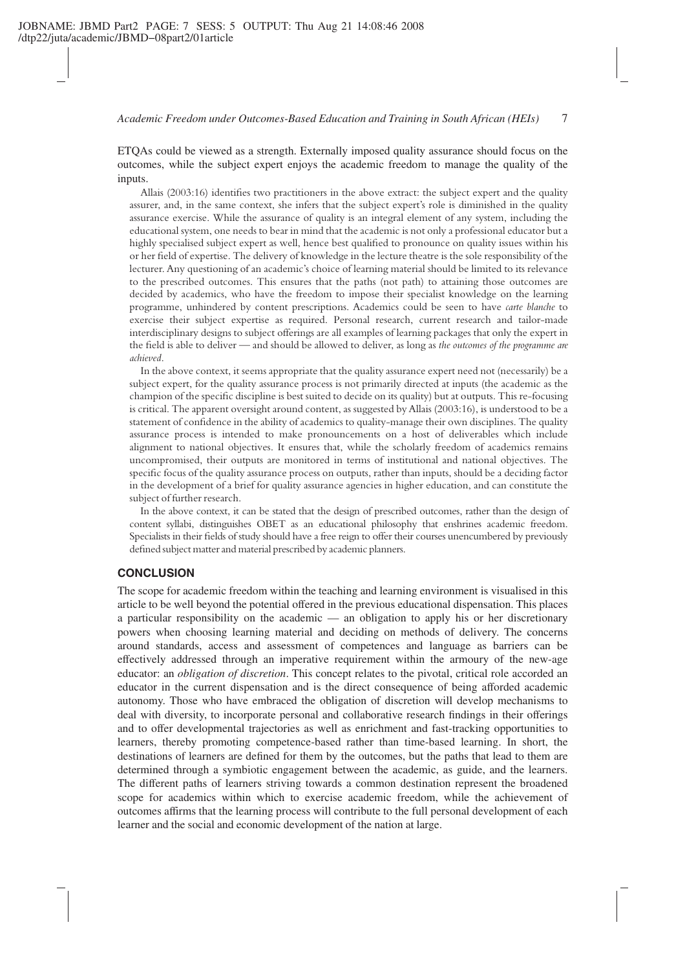*Academic Freedom under Outcomes-Based Education and Training in South African (HEIs)* 7

ETQAs could be viewed as a strength. Externally imposed quality assurance should focus on the outcomes, while the subject expert enjoys the academic freedom to manage the quality of the inputs.

Allais (2003:16) identifies two practitioners in the above extract: the subject expert and the quality assurer, and, in the same context, she infers that the subject expert's role is diminished in the quality assurance exercise. While the assurance of quality is an integral element of any system, including the educational system, one needs to bear in mind that the academic is not only a professional educator but a highly specialised subject expert as well, hence best qualified to pronounce on quality issues within his or her field of expertise. The delivery of knowledge in the lecture theatre is the sole responsibility of the lecturer. Any questioning of an academic's choice of learning material should be limited to its relevance to the prescribed outcomes. This ensures that the paths (not path) to attaining those outcomes are decided by academics, who have the freedom to impose their specialist knowledge on the learning programme, unhindered by content prescriptions. Academics could be seen to have *carte blanche* to exercise their subject expertise as required. Personal research, current research and tailor-made interdisciplinary designs to subject offerings are all examples of learning packages that only the expert in the field is able to deliver — and should be allowed to deliver, as long as *the outcomes of the programme are achieved*.

In the above context, it seems appropriate that the quality assurance expert need not (necessarily) be a subject expert, for the quality assurance process is not primarily directed at inputs (the academic as the champion of the specific discipline is best suited to decide on its quality) but at outputs. This re-focusing is critical. The apparent oversight around content, as suggested by Allais (2003:16), is understood to be a statement of confidence in the ability of academics to quality-manage their own disciplines. The quality assurance process is intended to make pronouncements on a host of deliverables which include alignment to national objectives. It ensures that, while the scholarly freedom of academics remains uncompromised, their outputs are monitored in terms of institutional and national objectives. The specific focus of the quality assurance process on outputs, rather than inputs, should be a deciding factor in the development of a brief for quality assurance agencies in higher education, and can constitute the subject of further research.

In the above context, it can be stated that the design of prescribed outcomes, rather than the design of content syllabi, distinguishes OBET as an educational philosophy that enshrines academic freedom. Specialists in their fields of study should have a free reign to offer their courses unencumbered by previously defined subject matter and material prescribed by academic planners.

# **CONCLUSION**

The scope for academic freedom within the teaching and learning environment is visualised in this article to be well beyond the potential offered in the previous educational dispensation. This places a particular responsibility on the academic — an obligation to apply his or her discretionary powers when choosing learning material and deciding on methods of delivery. The concerns around standards, access and assessment of competences and language as barriers can be effectively addressed through an imperative requirement within the armoury of the new-age educator: an *obligation of discretion*. This concept relates to the pivotal, critical role accorded an educator in the current dispensation and is the direct consequence of being afforded academic autonomy. Those who have embraced the obligation of discretion will develop mechanisms to deal with diversity, to incorporate personal and collaborative research findings in their offerings and to offer developmental trajectories as well as enrichment and fast-tracking opportunities to learners, thereby promoting competence-based rather than time-based learning. In short, the destinations of learners are defined for them by the outcomes, but the paths that lead to them are determined through a symbiotic engagement between the academic, as guide, and the learners. The different paths of learners striving towards a common destination represent the broadened scope for academics within which to exercise academic freedom, while the achievement of outcomes affirms that the learning process will contribute to the full personal development of each learner and the social and economic development of the nation at large.